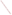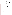## **THE ENVIRONMENTAL TECHNOLOGY VERIFICATION**







# **ETV Joint Verification Statement**

| <b>TECHNOLOGY TYPE:</b>                     | <b>RAPID TOXICITY TESTING SYSTEM</b> |             |                     |  |  |
|---------------------------------------------|--------------------------------------|-------------|---------------------|--|--|
| <b>APPLICATION:</b>                         | DETECTING TOXICITY IN DRINKING WATER |             |                     |  |  |
| TECHNOLOGY NAME: ToxTrak <sup>TM</sup>      |                                      |             |                     |  |  |
| <b>COMPANY:</b>                             | <b>Hach Company</b>                  |             |                     |  |  |
| <b>ADDRESS:</b>                             | P.O. Box 389                         |             | PHONE: 970-669-3050 |  |  |
|                                             | Loveland, CO 80539                   | <b>FAX:</b> | 970-669-2932        |  |  |
| <b>WEB SITE:</b>                            | http://www.hach.com/                 |             |                     |  |  |
| $E\text{-}\mathbf{M}\mathbf{A}\mathbf{H}$ . | mhaubric@hach.com                    |             |                     |  |  |

The U.S. Environmental Protection Agency (EPA) supports the Environmental Technology Verification (ETV) Program to facilitate the deployment of innovative or improved environmental technologies through performance verification and dissemination of information. The goal of the ETV Program is to further environmental protection by accelerating the acceptance and use of improved and cost-effective technologies. ETV seeks to achieve this goal by providing high-quality, peer-reviewed data on technology performance to those involved in the design, distribution, financing, permitting, purchase, and use of environmental technologies.

ETV works in partnership with recognized standards and testing organizations, with stakeholder groups (consisting of buyers, vendor organizations, and permitters), and with individual technology developers. The program evaluates the performance of innovative technologies by developing test plans that are responsive to the needs of stakeholders, conducting field or laboratory tests (as appropriate), collecting and analyzing data, and preparing peer-reviewed reports. All evaluations are conducted in accordance with rigorous quality assurance (QA) protocols to ensure that data of known and adequate quality are generated and that the results are defensible.

The Advanced Monitoring Systems (AMS) Center, one of seven technology areas under ETV, is operated by Battelle in cooperation with EPA's National Exposure Research Laboratory. The AMS Center has recently evaluated the performance of rapid toxicity testing systems used to detect toxicity in drinking water. This verification statement provides a summary of the test results for ToxTrak™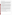### **VERIFICATION TEST DESCRIPTION**

Rapid toxicity technologies use bacteria, enzymes, or small crustaceans that product light or use oxygen at a steady rate in the absence of toxic contaminants. Toxic contaminants in drinking water are indicated by a change in the color or intensity of light or by a change in the rate of oxygen use. As part of this verification test, which, for this technology, took place between July 14 and September 12, 2003, various contaminants were added to separate drinking water samples and analyzed by ToxTrak™. Response to interfering compounds in clean drinking water also was evaluated. Dechlorinated drinking water samples from Columbus, Ohio, (DDW) were fortified with contaminants at concentrations ranging from lethal levels to levels 1,000 times less than the lethal dose and analyzed. Endpoint and precision, toxicity threshold for each contaminant, false positive/negative responses, ease of use, and sample throughput were evaluated.

Inhibition results (endpoints) from four replicates of each contaminant at each concentration level were evaluated to assess the ability of the ToxTrak™ to detect toxicity at various concentrations of contaminants, as well as to measure the precision of the ToxTrak™ results. The response of ToxTrak™ to compounds used during the water treatment process (interfering compounds) was evaluated by analyzing separate aliquots of DDW fortified with each potential interferent at approximately one-half of the concentration limit recommended by the EPA's National Secondary Drinking Water Regulations guidance. For analysis of by-products of the chlorination process, unspiked DDW was analyzed because Columbus, Ohio, uses chlorination as its disinfectant procedure. For the analysis of by-products of the chloramination process, a separate drinking water sample from St. Petersburg, Florida, which uses chloramination as its disinfection process, was obtained. The samples were analyzed after residual chlorine was removed using sodium thiosulfate. Sample throughput was measured based on the number of samples analyzed per hour. Ease of use and reliability were determined based on documented observations of the operators and the verification test coordinator.

The test/QA plan for this verification test describes only a quantitative evaluation of the percent inhibition data generated by each technology. The ToxTrak™ manufacturer indicated during the review of this report that a qualitative data evaluation also should be performed to describe how a typical user is more likely to interpret and use the ToxTrak™ results. Specifically, the manufacturer suggested that the percent inhibition results for each concentration level of each contaminant also be evaluated as a qualitative indicator of whether or not a toxic contaminant is present. The manufacturer stated that the percent inhibition results for each contaminant do not necessarily increase linearly with the concentration of the contaminant but, depending on the contaminant, can at times be represented by a non-linear relationship that may exhibit parabolic functionality that increases in response, up to a certain concentration, but then begins to decrease. Therefore, in addition to the quantitative evaluation of the data, a qualitative evaluation was performed.

Quality control samples included method blank samples, which consisted of American Society for Testing and Materials Type II deionized water; positive control samples, which were provided by the vendor; and negative control samples, which consisted of the unspiked DDW.

QA oversight of verification testing was provided by Battelle and EPA. Battelle QA staff conducted a technical systems audit, a performance evaluation audit, and a data quality audit of 10% of the test data. EPA QA staff also performed a technical systems audit while testing was being conducted.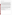### **TECHNOLOGY DESCRIPTION**

The following description of ToxTrak™ was provided by the vendor and was not subjected to verification in this test.

ToxTrak™ system is a colorimetric test based on resazurin dye chemistry. Resazurin is a redox-active dye that, when reduced, changes color from blue to pink. Resazurin is in the oxidized, blue state at the beginning of the test. The bacteria oxidize the glucose added to the sample with the dye and reduce the resazurin. The resazurin is first reduced by two electrons to resorufin, which is pink. Resorufin can be further reduced by two electrons to dihydroresorufin, which is colorless. Dihydroresorufin can be reoxidized by atmospheric oxygen to resorufin. To prevent interference, readings must be taken before a significant amount of resorufin has been reduced. This inhibition or acceleration of resazurin reduction is taken as an indication of toxicity in the test. Substances that are toxic to bacteria can inhibit their metabolism and thus inhibit the rate of resazurin reduction. If the reaction time is too long, the indicator is too far reduced and interference will result. Percent inhibition results of several replicate results that are greater than 10% inhibition or more negative than -10% are indications of toxicity, according to the vendor's protocol. The presence/absence data trend among the four replicates was evaluated to determine if ToxTrak™ consistently indicated the presence (or absence) of the contaminants at the measured concentrations. Three out of four positive responses were required to indicate the presence of a contaminant at that concentration level. If two results were positive and two negative, the overall result was not considered a positive or a negative result.

ToxTrak™ works with different species of bacteria (including both Gram positive and Gram negative species) or mixed cultures. The ToxTrak™ kit includes 12 reusable sample cells with caps, several capsules of dried bacteria, lauryl tryptose broth for culturing the bacteria, 50 ToxTrak™ Reagent Powder Pillows, 15 milliliters (mLs) of ToxTrak™ accelerator solution, 20 sterile transfer pipettes, a test tube rack, forceps, five germicidal cloths, a lab marker, illustrated instructions, and a carrying case. For this verification test, the vendor provided a Hach DR/4000V spectrophotometer for the laboratory-based colorimeter measurements and a Hach DR890 handheld colorimeter for the field measurements. Any colorimeter that can analyze samples at a wavelength at or near 603 nanometers could be used in conjunction with the ToxTrak™ reagents. The ToxTrak™ kit costs \$280, and reagent sets cost \$100. The reagent kit can be used with the test kit, a spectrophotometer, or a colorimeter The DR/4000V spectrophotometer used in this verification test cost \$3,950.

#### **VERIFICATION OF PERFORMANCE**

**Endpoint and Precision/Toxicity Threshold:** The table below presents ToxTrak™ percent inhibition data and the range of standard deviations for the contaminants and potential interferences that were tested. The toxicity thresholds also are shown for each contaminant tested.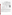|                                      |                                | Lethal<br><b>Dose</b><br>(LD)<br>Conc. | <b>Average Percent Inhibitions at</b><br><b>Concentrations Relative to the LD</b><br><b>Concentration (Qualitative Result:</b><br>"+" = present "-" = absent) |           |            | <b>Range of</b><br><b>Standard</b><br><b>Deviations</b> | <b>Toxicity</b><br>Thresh.<br>(mg/L) |             |       |
|--------------------------------------|--------------------------------|----------------------------------------|---------------------------------------------------------------------------------------------------------------------------------------------------------------|-----------|------------|---------------------------------------------------------|--------------------------------------|-------------|-------|
| <b>Parameter</b>                     | Compound                       | (mg/L)                                 | LD                                                                                                                                                            | LD/10     | LD/100     | LD/1,000                                                | (%)                                  | Quan. Qual. |       |
| Contaminants<br>in DDW               | Aldicarb                       | 280                                    | $-16 (+)$                                                                                                                                                     | $-7$ (-)  | $12 (+)$   | $-11$ (NC) <sup>(a)</sup>                               | $3 - 24$                             | $ND^{(b)}$  | 280   |
|                                      | Colchicine                     | 240                                    | $14 (+)$                                                                                                                                                      | 8 (NC)    | $-3$ (-)   | 8 (NC)                                                  | $3 - 24$                             | ND          | 240   |
|                                      | Cyanide                        | 250                                    | $72 (+)$                                                                                                                                                      | $11 (+)$  | $-6$ $(-)$ | $-10$ (-)                                               | $7 - 17$                             | 250         | 25    |
|                                      | Dicrotophos                    | 1,400                                  | $-60 (+)$                                                                                                                                                     | $-53 (+)$ | $-37 (+)$  | $-12$ (NC)                                              | $14 - 82$                            | ND          | 14    |
|                                      | Thallium sulfate               | 2,400                                  | $-104 (+)$                                                                                                                                                    | $-37 (+)$ | $-21 (+)$  | $-38 (+)$                                               | $22 - 62$                            | ND          | 2.4   |
|                                      | Botulinum toxin <sup>(c)</sup> | 0.30                                   | 10 (NC)                                                                                                                                                       | $5(-)$    | $6(-)$     | $18 (+)$                                                | $6 - 16$                             | ND          | ND    |
|                                      | Ricin <sup>(d)</sup>           | 15                                     | $-32 (+)$                                                                                                                                                     | $-38 (+)$ | $-33 (+)$  | $-45 (+)$                                               | $11 - 27$                            | ND          | 0.015 |
|                                      | Soman                          | $0.15^{(e)}$                           | $-6$ (NC)                                                                                                                                                     | $-24 (+)$ | $-21 (+)$  | $-10$ (NC)                                              | $3 - 13$                             | ND          | ND    |
|                                      | <b>VX</b>                      | 0.22                                   | $-16 (+)$                                                                                                                                                     | $-5$ (-)  | $-6$ (NC)  | $9(-)$                                                  | $8 - 12$                             | ND          | 0.22  |
|                                      | <b>Interference</b>            | Conc.<br>(mg/L)                        | <b>Average Inhibitions at a</b><br><b>Single Concentration (%)</b>                                                                                            |           |            | <b>Standard</b><br><b>Deviation</b><br>$(\%)$           |                                      |             |       |
| Potential<br>interferences<br>in DDW | Aluminum                       | 0.36                                   | $-3$ (-)                                                                                                                                                      |           |            |                                                         | 10                                   |             |       |
|                                      | Copper                         | 0.65                                   | $-6$ (NC)                                                                                                                                                     |           |            |                                                         | 14                                   |             |       |
|                                      | <b>Iron</b>                    | 0.069                                  | $-36 (+)$                                                                                                                                                     |           |            | 23                                                      |                                      |             |       |
|                                      | Manganese                      | 0.26                                   | 11 (NC)                                                                                                                                                       |           |            | 10                                                      |                                      |             |       |
|                                      | Zinc                           | 3.5                                    | $-17$ (NC)                                                                                                                                                    |           |            | 19                                                      |                                      |             |       |

(a)  $NC = Not$  consistently positive or negative.

(b)  $ND = Not detectable.$ <br>(c) Lethal dose solution a

(c) Lethal dose solution also contained 3 mg/L phosphate and 1 mg/L sodium chloride.

(d) Lethal dose solution also contained 3 mg/L phosphate, 26 mg/L sodium chloride, and 2 mg/L sodium azide.<br>
Due to the degradation of somen in water, the stock solution confirmation analysis confirmed that the conce

Due to the degradation of soman in water, the stock solution confirmation analysis confirmed that the concentration of the lethal dose was 51% of the expected concentration of 0.30 mg/L.

**False Positive/Negative Responses:** Inhibition was  $45\% \pm 14\%$  in dechlorinated water from the system disinfected by chlorination for samples analyzed in July. Samples analyzed in September were non-inhibitory. The water sample from a water system disinfected by chloramination was non-inhibitory (-11%  $\pm$  11%). Qualitative results were consistent with quantitative results (i.e., both interpretation methods indicated false positive responses with these matrices). According to the quantitative data interpretation, inhibition greater than the negative control was not detected for lethal doses of any contaminant except cyanide (i.e., all contaminants except cyanide produced false negative responses). According to the qualitative data interpretation, botulinum toxin and soman exhibited false negative responses.

**Field Portability:** ToxTrak™ performance in the field was similar to its performance in the laboratory both qualitatively and quantitatively for the one contaminant (cyanide) that was tested in both locations. The carrying case was not provided by the vendor. A Hach DR890 handheld colorimeter was used for field measurements. Overnight incubation of bacteria may be inconvenient for field deployment.